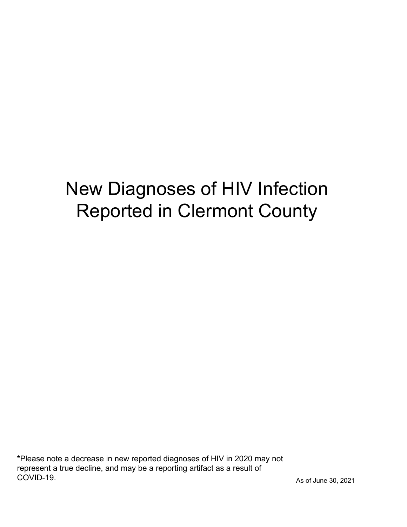# New Diagnoses of HIV Infection Reported in Clermont County

\*Please note a decrease in new reported diagnoses of HIV in 2020 may not represent a true decline, and may be a reporting artifact as a result of COVID-19.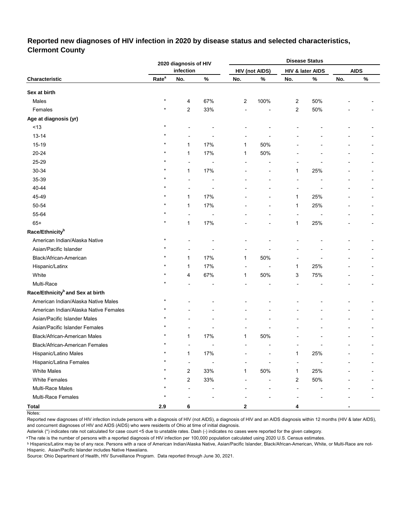## **Reported new diagnoses of HIV infection in 2020 by disease status and selected characteristics, Clermont County**

|                                              |                   | 2020 diagnosis of HIV    |                |     |                       |     | <b>Disease Status</b> |     |             |
|----------------------------------------------|-------------------|--------------------------|----------------|-----|-----------------------|-----|-----------------------|-----|-------------|
|                                              |                   | infection                |                |     | <b>HIV (not AIDS)</b> |     | HIV & later AIDS      |     | <b>AIDS</b> |
| Characteristic                               | Rate <sup>a</sup> | No.                      | $\%$           | No. | $\%$                  | No. | $\%$                  | No. | $\%$        |
| Sex at birth                                 |                   |                          |                |     |                       |     |                       |     |             |
| Males                                        | $\star$           | 4                        | 67%            | 2   | 100%                  | 2   | 50%                   |     |             |
| Females                                      | $\star$           | $\overline{c}$           | 33%            |     |                       | 2   | 50%                   |     |             |
| Age at diagnosis (yr)                        |                   |                          |                |     |                       |     |                       |     |             |
| < 13                                         | $\star$           |                          |                |     |                       |     |                       |     |             |
| $13 - 14$                                    |                   |                          |                |     |                       |     |                       |     |             |
| 15-19                                        |                   | $\mathbf{1}$             | 17%            | 1   | 50%                   |     |                       |     |             |
| 20-24                                        |                   | 1                        | 17%            | 1   | 50%                   |     |                       |     |             |
| 25-29                                        |                   |                          |                |     |                       |     |                       |     |             |
| 30-34                                        |                   | $\mathbf{1}$             | 17%            |     |                       | 1   | 25%                   |     |             |
| 35-39                                        |                   |                          |                |     |                       |     |                       |     |             |
| 40-44                                        |                   |                          |                |     |                       |     |                       |     |             |
| 45-49                                        |                   | 1                        | 17%            |     |                       | 1   | 25%                   |     |             |
| 50-54                                        |                   | $\mathbf{1}$             | 17%            |     |                       | 1   | 25%                   |     |             |
| 55-64                                        |                   | $\overline{a}$           |                |     |                       | ÷   |                       |     |             |
| $65+$                                        |                   | 1                        | 17%            |     |                       | 1   | 25%                   |     |             |
| Race/Ethnicity <sup>b</sup>                  |                   |                          |                |     |                       |     |                       |     |             |
| American Indian/Alaska Native                | $\star$           |                          |                |     |                       |     |                       |     |             |
| Asian/Pacific Islander                       |                   |                          |                |     |                       |     |                       |     |             |
| Black/African-American                       |                   | 1                        | 17%            | 1   | 50%                   |     |                       |     |             |
| Hispanic/Latinx                              |                   | $\mathbf{1}$             | 17%            | ÷   |                       | 1   | 25%                   |     |             |
| White                                        |                   | 4                        | 67%            | 1   | 50%                   | 3   | 75%                   |     |             |
| Multi-Race                                   |                   |                          |                |     |                       |     |                       |     |             |
| Race/Ethnicity <sup>b</sup> and Sex at birth |                   |                          |                |     |                       |     |                       |     |             |
| American Indian/Alaska Native Males          | $\star$           |                          |                |     |                       |     |                       |     |             |
| American Indian/Alaska Native Females        | $\star$           |                          |                |     |                       |     |                       |     |             |
| Asian/Pacific Islander Males                 |                   |                          |                |     |                       |     |                       |     |             |
| Asian/Pacific Islander Females               |                   |                          |                |     |                       |     |                       |     |             |
| Black/African-American Males                 |                   | $\mathbf{1}$             | 17%            | 1   | 50%                   |     |                       |     |             |
| Black/African-American Females               | $\star$           |                          | $\overline{a}$ |     |                       |     |                       |     |             |
| Hispanic/Latino Males                        | $\star$           | $\mathbf{1}$             | 17%            |     |                       | 1   | 25%                   |     |             |
| Hispanic/Latina Females                      |                   | $\overline{\phantom{a}}$ |                |     |                       |     |                       |     |             |
| <b>White Males</b>                           |                   | $\overline{c}$           | 33%            | 1   | 50%                   | 1   | 25%                   |     |             |
| <b>White Females</b>                         |                   | $\overline{\mathbf{c}}$  | 33%            |     |                       | 2   | 50%                   |     |             |
| Multi-Race Males                             |                   |                          |                |     |                       |     |                       |     |             |
| Multi-Race Females                           |                   |                          |                |     |                       |     |                       |     |             |
| <b>Total</b>                                 | 2.9               | 6                        |                | 2   |                       | 4   |                       |     |             |

Notes:

Reported new diagnoses of HIV infection include persons with a diagnosis of HIV (not AIDS), a diagnosis of HIV and an AIDS diagnosis within 12 months (HIV & later AIDS), and concurrent diagnoses of HIV and AIDS (AIDS) who were residents of Ohio at time of initial diagnosis.

Asterisk (\*) indicates rate not calculated for case count <5 due to unstable rates. Dash (-) indicates no cases were reported for the given category.

<sup>a</sup>The rate is the number of persons with a reported diagnosis of HIV infection per 100,000 population calculated using 2020 U.S. Census estimates.

ᵇ Hispanics/Latinx may be of any race. Persons with a race of American Indian/Alaska Native, Asian/Pacific Islander, Black/African-American, White, or Multi-Race are not-Hispanic. Asian/Pacific Islander includes Native Hawaiians.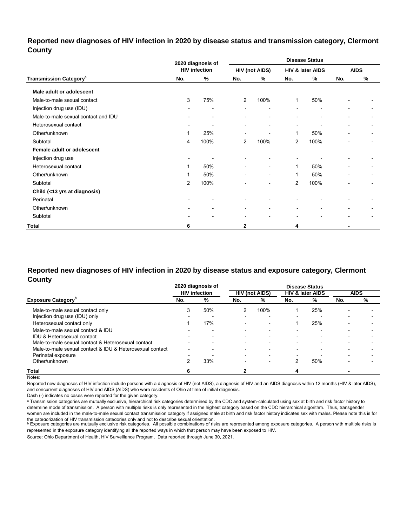## **Reported new diagnoses of HIV infection in 2020 by disease status and transmission category, Clermont County**

|                                          |     | 2020 diagnosis of        |                          |                              |                          | <b>Disease Status</b>    |                |                          |
|------------------------------------------|-----|--------------------------|--------------------------|------------------------------|--------------------------|--------------------------|----------------|--------------------------|
|                                          |     | <b>HIV infection</b>     |                          | <b>HIV (not AIDS)</b>        |                          | HIV & later AIDS         |                | <b>AIDS</b>              |
| <b>Transmission Category<sup>a</sup></b> | No. | %                        | No.                      | $\%$                         | No.                      | %                        | No.            | %                        |
| Male adult or adolescent                 |     |                          |                          |                              |                          |                          |                |                          |
| Male-to-male sexual contact              | 3   | 75%                      | 2                        | 100%                         | $\mathbf{1}$             | 50%                      |                |                          |
| Injection drug use (IDU)                 |     | $\overline{\phantom{0}}$ |                          | ٠                            |                          | $\overline{\phantom{0}}$ |                |                          |
| Male-to-male sexual contact and IDU      |     | ۰                        | $\blacksquare$           | ٠                            | $\blacksquare$           | $\blacksquare$           | ۰              |                          |
| Heterosexual contact                     | ۰   | $\overline{\phantom{a}}$ | $\blacksquare$           | ٠                            | $\blacksquare$           |                          |                | $\blacksquare$           |
| Other/unknown                            | 1   | 25%                      | $\overline{\phantom{a}}$ | $\overline{a}$               | 1                        | 50%                      | $\blacksquare$ | $\overline{\phantom{0}}$ |
| Subtotal                                 | 4   | 100%                     | $\overline{2}$           | 100%                         | 2                        | 100%                     | ٠              | ۰                        |
| Female adult or adolescent               |     |                          |                          |                              |                          |                          |                |                          |
| Injection drug use                       | ۰   |                          |                          |                              |                          |                          |                |                          |
| Heterosexual contact                     | 1   | 50%                      | $\overline{\phantom{0}}$ | $\qquad \qquad \blacksquare$ | 1                        | 50%                      |                |                          |
| Other/unknown                            | 1   | 50%                      | $\overline{\phantom{a}}$ | $\qquad \qquad \blacksquare$ | 1                        | 50%                      |                |                          |
| Subtotal                                 | 2   | 100%                     | -                        | -                            | 2                        | 100%                     |                |                          |
| Child (<13 yrs at diagnosis)             |     |                          |                          |                              |                          |                          |                |                          |
| Perinatal                                |     |                          |                          |                              |                          |                          |                |                          |
| Other/unknown                            |     | ۰                        | ٠                        | ۰                            | $\blacksquare$           |                          |                |                          |
| Subtotal                                 |     | $\blacksquare$           | ٠                        | $\blacksquare$               | $\overline{\phantom{0}}$ | $\blacksquare$           |                |                          |
| Total                                    | 6   |                          | $\mathbf{2}$             |                              | 4                        |                          |                |                          |

## **Reported new diagnoses of HIV infection in 2020 by disease status and exposure category, Clermont County**

|                                                          |                          | 2020 diagnosis of        |                          |                          |                          | <b>Disease Status</b>       |     |             |
|----------------------------------------------------------|--------------------------|--------------------------|--------------------------|--------------------------|--------------------------|-----------------------------|-----|-------------|
|                                                          |                          | <b>HIV</b> infection     |                          | <b>HIV (not AIDS)</b>    |                          | <b>HIV &amp; later AIDS</b> |     | <b>AIDS</b> |
| <b>Exposure Category</b>                                 | No.                      | %                        | No.                      | %                        | No.                      | %                           | No. | %           |
| Male-to-male sexual contact only                         | 3                        | 50%                      |                          | 100%                     |                          | 25%                         |     |             |
| Injection drug use (IDU) only                            |                          |                          |                          |                          | $\overline{\phantom{0}}$ | $\overline{\phantom{a}}$    |     |             |
| Heterosexual contact only                                |                          | 17%                      | $\overline{\phantom{0}}$ | $\overline{\phantom{0}}$ |                          | 25%                         |     |             |
| Male-to-male sexual contact & IDU                        |                          | $\overline{\phantom{0}}$ | $\overline{\phantom{0}}$ | $\overline{\phantom{0}}$ | $\overline{\phantom{0}}$ | $\overline{\phantom{0}}$    | -   |             |
| IDU & Heterosexual contact                               |                          |                          | $\overline{\phantom{0}}$ | $\overline{\phantom{a}}$ | -                        |                             |     |             |
| Male-to-male sexual contact & Heterosexual contact       | $\overline{\phantom{0}}$ | $\overline{\phantom{0}}$ | $\overline{\phantom{0}}$ | $\overline{\phantom{0}}$ | $\overline{\phantom{0}}$ | $\overline{\phantom{0}}$    |     |             |
| Male-to-male sexual contact & IDU & Heterosexual contact | $\overline{\phantom{a}}$ |                          | $\overline{\phantom{0}}$ | $\overline{\phantom{0}}$ | -                        |                             |     |             |
| Perinatal exposure                                       |                          |                          | $\overline{\phantom{0}}$ | $\overline{\phantom{a}}$ |                          |                             |     |             |
| Other/unknown                                            |                          | 33%                      |                          |                          |                          | 50%                         |     |             |
| Total                                                    |                          |                          |                          |                          |                          |                             |     |             |

Notes:

Reported new diagnoses of HIV infection include persons with a diagnosis of HIV (not AIDS), a diagnosis of HIV and an AIDS diagnosis within 12 months (HIV & later AIDS), and concurrent diagnoses of HIV and AIDS (AIDS) who were residents of Ohio at time of initial diagnosis.

Dash (-) indicates no cases were reported for the given category.

a Transmission categories are mutually exclusive, hierarchical risk categories determined by the CDC and system-calculated using sex at birth and risk factor history to determine mode of transmission. A person with multiple risks is only represented in the highest category based on the CDC hierarchical algorithm. Thus, transgender women are included in the male-to-male sexual contact transmission category if assigned male at birth and risk factor history indicates sex with males. Please note this is for

the cateqorization of HIV transmission cateqories only and not to describe sexual orientation.<br>▷ Exposure categories are mutually exclusive risk categories. All possible combinations of risks are represented among exposu represented in the exposure category identifying all the reported ways in which that person may have been exposed to HIV.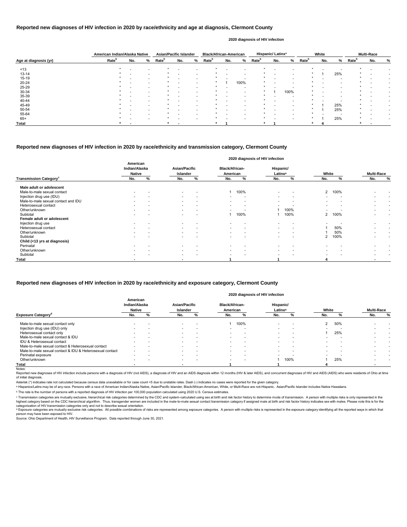|                       | American Indian/Alaska Native |     |                          | <b>Asian/Pacific Islander</b> |     |   | <b>Black/African-American</b> |     |      |                   | Hispanic/Latinx <sup>a</sup> |      |                   | White                    |     |                   | <b>Multi-Race</b> |   |
|-----------------------|-------------------------------|-----|--------------------------|-------------------------------|-----|---|-------------------------------|-----|------|-------------------|------------------------------|------|-------------------|--------------------------|-----|-------------------|-------------------|---|
| Age at diagnosis (yr) | Rate <sup>b</sup>             | No. | %                        | Rate <sup>b</sup>             | No. | % | Rate <sup>b</sup>             | No. | %    | Rate <sup>b</sup> | No.                          | %    | Rate <sup>b</sup> | No.                      | %   | Rate <sup>b</sup> | No.               | % |
| ~13                   |                               |     |                          |                               |     |   |                               |     |      |                   |                              |      |                   |                          |     |                   |                   |   |
| $13 - 14$             |                               |     |                          |                               |     |   |                               |     |      |                   |                              |      |                   |                          | 25% |                   |                   |   |
| $15 - 19$             |                               |     | $\overline{\phantom{0}}$ |                               |     |   |                               |     | . .  |                   |                              |      |                   | $\overline{\phantom{0}}$ |     |                   |                   |   |
| 20-24                 |                               |     |                          |                               |     |   |                               |     | 100% |                   |                              |      |                   |                          |     |                   |                   |   |
| 25-29                 |                               |     |                          |                               |     |   |                               |     |      |                   |                              |      |                   |                          |     |                   |                   |   |
| 30-34                 |                               |     |                          |                               |     |   |                               |     |      |                   |                              | 100% |                   |                          |     |                   |                   |   |
| 35-39                 |                               |     |                          |                               |     |   |                               |     |      |                   |                              |      |                   |                          |     |                   |                   |   |
| 40-44                 |                               |     |                          |                               |     |   |                               |     |      |                   |                              |      |                   |                          |     |                   |                   |   |
| 45-49                 |                               |     |                          |                               |     |   |                               |     |      |                   |                              |      |                   |                          | 25% |                   |                   |   |
| 50-54                 |                               |     |                          |                               |     |   |                               |     |      |                   |                              |      |                   |                          | 25% |                   |                   |   |
| 55-64                 |                               |     |                          |                               |     |   |                               |     |      |                   |                              |      |                   |                          |     |                   |                   |   |
| $65+$                 |                               |     |                          |                               |     |   |                               |     |      |                   |                              |      |                   |                          | 25% |                   |                   |   |
| Total                 |                               |     |                          |                               |     |   |                               |     |      |                   |                              |      |                   |                          |     |                   |                   |   |

Reported new diagnoses of HIV infection include persons with a diagnosis of HIV (not AIDS), a diagnosis of HIV and an AIDS diagnosis within 12 months (HIV & later AIDS), and concurrent diagnoses of HIV and AIDS (AIDS) who of initial diagnosis.

|                                           |                                            |   |                                         |                          |                                   | 2020 diagnosis of HIV infection |                                  |                          |                          |      |                          |                          |
|-------------------------------------------|--------------------------------------------|---|-----------------------------------------|--------------------------|-----------------------------------|---------------------------------|----------------------------------|--------------------------|--------------------------|------|--------------------------|--------------------------|
|                                           | American<br>Indian/Alaska<br><b>Native</b> |   | <b>Asian/Pacific</b><br><b>Islander</b> |                          | <b>Black/African-</b><br>American |                                 | Hispanic/<br>Latinx <sup>a</sup> |                          | White                    |      | <b>Multi-Race</b>        |                          |
| <b>Transmission Category</b> <sup>c</sup> | No.                                        | % | No.                                     | %                        | No.                               | %                               | No.                              | %                        | No.                      | %    | No.                      | $\%$                     |
| Male adult or adolescent                  |                                            |   |                                         |                          |                                   |                                 |                                  |                          |                          |      |                          |                          |
| Male-to-male sexual contact               |                                            |   | $\overline{\phantom{0}}$                |                          |                                   | 100%                            | $\overline{\phantom{a}}$         | $\overline{\phantom{a}}$ | $2^{\circ}$              | 100% |                          |                          |
| Injection drug use (IDU)                  |                                            |   | $\sim$                                  |                          | $\overline{\phantom{0}}$          | $\overline{\phantom{a}}$        | $\overline{\phantom{a}}$         | $\overline{\phantom{0}}$ |                          |      |                          |                          |
| Male-to-male sexual contact and IDU       |                                            |   | $\sim$                                  | $\overline{\phantom{a}}$ | $\overline{\phantom{a}}$          | $\overline{\phantom{0}}$        | $\overline{\phantom{0}}$         | $\overline{\phantom{0}}$ | $\overline{\phantom{0}}$ |      | $\overline{\phantom{0}}$ |                          |
| Heterosexual contact                      |                                            |   | $\sim$                                  | $\overline{a}$           | $\overline{\phantom{a}}$          | $\overline{\phantom{0}}$        |                                  |                          | $\overline{\phantom{0}}$ |      | $\overline{\phantom{0}}$ | $\overline{\phantom{a}}$ |
| Other/unknown                             | $\overline{\phantom{0}}$                   |   | $\sim$                                  | $\overline{\phantom{a}}$ | $\overline{\phantom{a}}$          | $\overline{\phantom{0}}$        |                                  | 100%                     |                          |      | $\overline{\phantom{0}}$ | $\overline{\phantom{0}}$ |
| Subtotal                                  |                                            |   |                                         |                          |                                   | 100%                            |                                  | 100%                     | $\mathbf{2}$             | 100% |                          |                          |
| Female adult or adolescent                |                                            |   |                                         |                          |                                   |                                 |                                  |                          |                          |      |                          |                          |
| Injection drug use                        |                                            |   |                                         |                          |                                   |                                 |                                  |                          |                          |      |                          |                          |
| Heterosexual contact                      |                                            |   | $\sim$                                  |                          |                                   |                                 | $\overline{\phantom{a}}$         |                          |                          | 50%  |                          | $\overline{\phantom{0}}$ |
| Other/unknown                             |                                            |   | $\sim$                                  | $\overline{\phantom{0}}$ | $\overline{\phantom{a}}$          | $\overline{\phantom{0}}$        | $\overline{\phantom{a}}$         | $\overline{\phantom{a}}$ |                          | 50%  | $\overline{\phantom{0}}$ | $\overline{\phantom{a}}$ |
| Subtotal                                  |                                            |   |                                         |                          |                                   |                                 | $\overline{\phantom{0}}$         |                          | 2                        | 100% |                          | $\overline{\phantom{0}}$ |
| Child (<13 yrs at diagnosis)              |                                            |   |                                         |                          |                                   |                                 |                                  |                          |                          |      |                          |                          |
| Perinatal                                 |                                            |   |                                         |                          |                                   |                                 |                                  |                          |                          |      |                          |                          |
| Other/unknown                             |                                            |   | $\sim$                                  |                          |                                   | $\overline{\phantom{0}}$        | $\overline{\phantom{a}}$         | $\overline{\phantom{0}}$ |                          |      |                          |                          |
| Subtotal                                  |                                            |   | $\overline{\phantom{0}}$                |                          | $\overline{\phantom{0}}$          |                                 | $\overline{\phantom{0}}$         |                          |                          |      |                          |                          |
| Total                                     |                                            |   | $\overline{\phantom{0}}$                |                          |                                   |                                 |                                  |                          |                          |      | $\blacksquare$           |                          |

### **Reported new diagnoses of HIV infection in 2020 by race/ethnicity and age at diagnosis, Clermont County**

#### **2020 diagnosis of HIV infection**

### **Reported new diagnoses of HIV infection in 2020 by race/ethnicity and transmission category, Clermont County**

Source: Ohio Department of Health, HIV Surveillance Program. Data reported through June 30, 2021.

|                                                          | American<br>Indian/Alaska<br><b>Native</b> |                          | <b>Asian/Pacific</b><br><b>Islander</b> |                          | <b>Black/African-</b><br>American |      | Hispanic/<br>Latinx <sup>a</sup> |                          | White  |     | <b>Multi-Race</b> |                          |
|----------------------------------------------------------|--------------------------------------------|--------------------------|-----------------------------------------|--------------------------|-----------------------------------|------|----------------------------------|--------------------------|--------|-----|-------------------|--------------------------|
| <b>Exposure Category<sup>ª</sup></b>                     | No.                                        | %                        | No.                                     | ℅                        | No.                               |      | No.                              |                          | No.    |     | No.               | %                        |
| Male-to-male sexual contact only                         |                                            |                          | $\overline{\phantom{0}}$                | $\overline{\phantom{0}}$ |                                   | 100% | $\overline{\phantom{0}}$         |                          | 2      | 50% |                   |                          |
| Injection drug use (IDU) only                            | -                                          |                          | $\overline{\phantom{0}}$                | $\overline{\phantom{a}}$ |                                   |      |                                  | $\overline{\phantom{0}}$ |        |     |                   |                          |
| Heterosexual contact only                                | $\overline{\phantom{0}}$                   |                          | $\overline{\phantom{0}}$                | $\overline{\phantom{a}}$ |                                   |      | $\overline{\phantom{0}}$         | $\overline{\phantom{a}}$ |        | 25% |                   |                          |
| Male-to-male sexual contact & IDU                        | $\overline{\phantom{0}}$                   |                          | $\overline{\phantom{0}}$                | $\overline{\phantom{a}}$ |                                   |      | $\overline{\phantom{0}}$         |                          |        |     |                   | $\overline{\phantom{0}}$ |
| IDU & Heterosexual contact                               | $\overline{\phantom{0}}$                   |                          | $\overline{\phantom{0}}$                | $\overline{\phantom{a}}$ |                                   |      |                                  | $\overline{\phantom{0}}$ |        |     |                   |                          |
| Male-to-male sexual contact & Heterosexual contact       | $\overline{\phantom{0}}$                   |                          | $\overline{\phantom{0}}$                | $\overline{\phantom{a}}$ |                                   |      | $\overline{\phantom{0}}$         | $\overline{\phantom{0}}$ | $\sim$ |     |                   |                          |
| Male-to-male sexual contact & IDU & Heterosexual contact | $\overline{\phantom{a}}$                   |                          | $\sim$                                  | $\overline{\phantom{0}}$ |                                   | -    | $\overline{\phantom{0}}$         | $\overline{\phantom{0}}$ |        |     |                   |                          |
| Perinatal exposure                                       | $\overline{\phantom{0}}$                   |                          | $\overline{\phantom{0}}$                | $\overline{\phantom{0}}$ |                                   |      |                                  |                          |        |     |                   |                          |
| Other/unknown                                            | $\overline{\phantom{0}}$                   | $\overline{\phantom{0}}$ | $\overline{\phantom{0}}$                | $\overline{\phantom{a}}$ |                                   | -    |                                  | 100%                     |        | 25% |                   |                          |
| Total                                                    |                                            |                          |                                         |                          |                                   |      |                                  |                          |        |     |                   |                          |
| Notes:                                                   |                                            |                          |                                         |                          |                                   |      |                                  |                          |        |     |                   |                          |

#### **Reported new diagnoses of HIV infection in 2020 by race/ethnicity and exposure category, Clermont County**

#### **2020 diagnosis of HIV infection**

Asterisk (\*) indicates rate not calculated because census data unavailable or for case count <5 due to unstable rates. Dash (-) indicates no cases were reported for the given category.

a Hispanics/Latinx may be of any race. Persons with a race of American Indian/Alaska Native, Asian/Pacific Islander, Black/African-American, White, or Multi-Race are not-Hispanic. Asian/Pacific Islander includes Native Haw

categorization of HIV transmission categories only and not to describe sexual orientation. <sup>d</sup> Exposure categories are mutually exclusive risk categories. All possible combinations of risks are represented among exposure categories. A person with multiple risks is represented in the exposure category identifyin person may have been exposed to HIV.

ᵇ The rate is the number of persons with a reported diagnosis of HIV infection per 100,000 population calculated using 2020 U.S. Census estimates.

© Transmission categories are mutually exclusive, hierarchical risk categories determined by the CDC and system-calculated using sex at birth and risk factor history to determine mode of transmission. A person with multip highest category based on the CDC hierarchical algorithm. Thus, transgender women are included in the male-to-male sexual contact transmission category if assigned male at birth and risk factor history indicates sex with m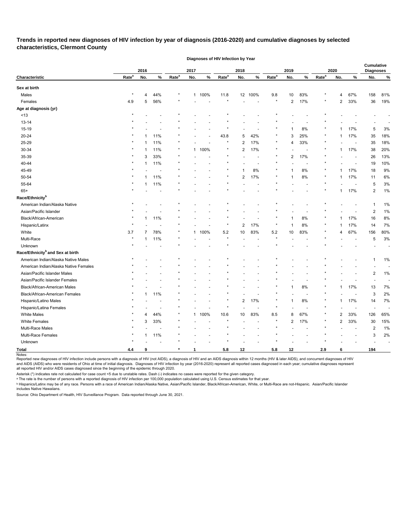## **Trends in reported new diagnoses of HIV infection by year of diagnosis (2016-2020) and cumulative diagnoses by selected characteristics, Clermont County**

**Diagnoses of HIV Infection by Year**

|                                              |                   | 2016 |                          |                   | 2017         |        |                   | 2018           |      |                   | 2019           |                |                   | 2020         |                          | Cumulative<br><b>Diagnoses</b> |                          |
|----------------------------------------------|-------------------|------|--------------------------|-------------------|--------------|--------|-------------------|----------------|------|-------------------|----------------|----------------|-------------------|--------------|--------------------------|--------------------------------|--------------------------|
| Characteristic                               | Rate <sup>a</sup> | No.  | $\%$                     | Rate <sup>a</sup> | No.          | $\%$   | Rate <sup>a</sup> | No.            | $\%$ | Rate <sup>a</sup> | No.            | $\%$           | Rate <sup>a</sup> | No.          | $\%$                     | No.                            | $\%$                     |
| Sex at birth                                 |                   |      |                          |                   |              |        |                   |                |      |                   |                |                |                   |              |                          |                                |                          |
| Males                                        | $\ast$            | 4    | 44%                      | $^\star$          | 1            | 100%   | 11.8              | 12             | 100% | 9.8               | 10             | 83%            |                   | 4            | 67%                      | 158                            | 81%                      |
| Females                                      | 4.9               | 5    | 56%                      |                   |              |        |                   |                |      |                   | $\overline{2}$ | 17%            |                   | 2            | 33%                      | 36                             | 19%                      |
| Age at diagnosis (yr)                        |                   |      |                          |                   |              |        |                   |                |      |                   |                |                |                   |              |                          |                                |                          |
| ~13                                          |                   |      |                          |                   |              |        |                   |                |      |                   |                |                |                   |              |                          |                                |                          |
| $13 - 14$                                    |                   |      |                          |                   |              |        |                   |                |      |                   |                |                |                   |              |                          |                                |                          |
| 15-19                                        |                   |      |                          |                   |              |        |                   |                |      |                   |                | $8\%$          |                   |              | 17%                      | 5                              | 3%                       |
| 20-24                                        |                   |      | 11%                      |                   |              |        | 43.8              | 5              | 42%  |                   | 3              | 25%            |                   | 1            | 17%                      | 35                             | 18%                      |
| 25-29                                        |                   |      | 11%                      | $\star$           |              |        |                   | 2              | 17%  |                   | 4              | 33%            |                   |              |                          | 35                             | 18%                      |
| 30-34                                        |                   |      | 11%                      | $\star$           |              | 1 100% |                   | 2              | 17%  |                   |                |                |                   | 1            | 17%                      | 38                             | 20%                      |
| 35-39                                        |                   | 3    | 33%                      |                   |              |        |                   |                |      |                   | $\overline{c}$ | 17%            |                   |              |                          | 26                             | 13%                      |
| 40-44                                        |                   |      | 11%                      |                   |              |        |                   |                |      |                   |                |                |                   |              | $\overline{\phantom{a}}$ | 19                             | 10%                      |
| 45-49                                        |                   |      |                          |                   |              |        |                   |                | 8%   |                   |                | 8%             |                   | 1            | 17%                      | 18                             | 9%                       |
| 50-54                                        |                   |      | 11%                      |                   |              |        |                   | 2              | 17%  |                   | 1              | 8%             | $\star$           | 1            | 17%                      | 11                             | 6%                       |
| 55-64                                        |                   |      | 11%                      |                   |              |        |                   |                |      |                   |                |                |                   |              |                          | 5                              | 3%                       |
| $65+$                                        |                   |      |                          |                   |              |        |                   |                |      |                   |                |                |                   | 1            | 17%                      | 2                              | 1%                       |
| Race/Ethnicity <sup>b</sup>                  |                   |      |                          |                   |              |        |                   |                |      |                   |                |                |                   |              |                          |                                |                          |
| American Indian/Alaska Native                |                   |      |                          |                   |              |        |                   |                |      |                   |                |                |                   |              |                          | -1                             | 1%                       |
| Asian/Pacific Islander                       |                   |      |                          |                   |              |        |                   |                |      |                   |                |                |                   |              |                          | $\overline{c}$                 | 1%                       |
| Black/African-American                       |                   |      | 11%                      |                   |              |        |                   |                |      |                   |                | 8%             |                   |              | 17%                      | 16                             | 8%                       |
| Hispanic/Latinx                              |                   |      |                          |                   |              |        |                   | 2              | 17%  |                   |                | 8%             |                   |              | 17%                      | 14                             | 7%                       |
| White                                        | 3.7               |      | 78%                      | $\ast$            | 1            | 100%   | $5.2\,$           | 10             | 83%  | $5.2\,$           | 10             | 83%            |                   | 4            | 67%                      | 156                            | 80%                      |
| Multi-Race                                   | $\star$           |      | 11%                      | $\star$           |              |        |                   |                |      |                   |                |                |                   |              |                          | 5                              | 3%                       |
| Unknown                                      |                   |      |                          |                   |              |        |                   |                |      |                   |                |                |                   |              |                          |                                |                          |
| Race/Ethnicity <sup>b</sup> and Sex at birth |                   |      |                          |                   |              |        |                   |                |      |                   |                |                |                   |              |                          |                                |                          |
| American Indian/Alaska Native Males          |                   |      |                          |                   |              |        |                   |                |      |                   |                |                |                   |              |                          | -1                             | 1%                       |
| American Indian/Alaska Native Females        |                   |      |                          |                   |              |        |                   |                |      |                   |                |                |                   |              |                          |                                |                          |
| Asian/Pacific Islander Males                 |                   |      |                          |                   |              |        |                   |                |      |                   |                |                |                   |              |                          | $\overline{c}$                 | 1%                       |
| Asian/Pacific Islander Females               |                   |      |                          |                   |              |        |                   |                |      |                   |                |                |                   |              |                          |                                |                          |
| Black/African-American Males                 |                   |      |                          |                   |              |        |                   |                |      |                   |                | $8\%$          |                   | 1            | 17%                      | 13                             | 7%                       |
| Black/African-American Females               |                   |      | 11%                      |                   |              |        |                   |                |      |                   |                |                | $\star$           |              |                          | 3                              | 2%                       |
| Hispanic/Latino Males                        | $\star$           |      |                          |                   |              |        |                   | $\overline{2}$ | 17%  |                   | $\mathbf 1$    | $8\%$          |                   | $\mathbf{1}$ | 17%                      | 14                             | 7%                       |
| Hispanic/Latina Females                      |                   |      |                          | $\star$           |              |        | $\star$           |                |      | $\star$           |                | $\overline{a}$ |                   |              | $\sim$                   |                                |                          |
| White Males                                  | $\star$           | 4    | 44%                      | $\star$           |              | 1 100% | 10.6              | $10\,$         | 83%  | $8.5\,$           | 8              | 67%            |                   | 2            | 33%                      | 126                            | 65%                      |
| <b>White Females</b>                         | $\star$           | 3    | 33%                      | $\star$           |              |        |                   |                |      |                   | $\overline{c}$ | 17%            |                   | 2            | 33%                      | 30                             | 15%                      |
| Multi-Race Males                             |                   |      |                          |                   |              |        |                   |                |      |                   |                |                |                   |              | $\blacksquare$           | $\overline{2}$                 | 1%                       |
| Multi-Race Females                           | $\star$           | 1    | 11%                      | $\star$           |              |        |                   |                |      |                   |                |                |                   |              |                          | 3                              | 2%                       |
| Unknown                                      | $\star$           |      | $\overline{\phantom{a}}$ |                   |              |        |                   |                |      |                   |                |                |                   |              |                          |                                | $\overline{\phantom{a}}$ |
|                                              |                   |      |                          |                   |              |        |                   |                |      |                   |                |                |                   |              |                          |                                |                          |
| <b>Total</b>                                 | 4.4               | 9    |                          | $\ast$            | $\mathbf{1}$ |        | $5.8\,$           | 12             |      | 5.8               | 12             |                | 2.9               | 6            |                          | 194                            |                          |

Reported new diagnoses of HIV infection include persons with a diagnosis of HIV (not AIDS), a diagnosis of HIV and an AIDS diagnosis within 12 months (HIV & later AIDS), and concurrent diagnoses of HIV and AIDS (AIDS) who were residents of Ohio at time of initial diagnosis. Diagnoses of HIV infection by year (2016-2020) represent all reported cases diagnosed in each year; cumulative diagnoses represent all reported HIV and/or AIDS cases diagnosed since the beginning of the epidemic through 2020.

Asterisk (\*) indicates rate not calculated for case count <5 due to unstable rates. Dash (-) indicates no cases were reported for the given category.

ᵃ The rate is the number of persons with a reported diagnosis of HIV infection per 100,000 population calculated using U.S. Census estimates for that year.

<sup>ь</sup> Hispanics/Latinx may be of any race. Persons with a race of American Indian/Alaska Native, Asian/Pacific Islander, Black/African-American, White, or Multi-Race are not-Hispanic. Asian/Pacific Islander includes Native Hawaiians.

Source: Ohio Department of Health, HIV Surveillance Program. Data reported through June 30, 2021.

Notes: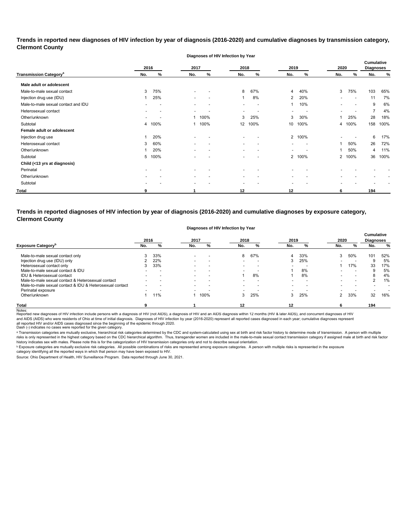## **Trends in reported new diagnoses of HIV infection by year of diagnosis (2016-2020) and cumulative diagnoses by transmission category, Clermont County**

**Diagnoses of HIV Infection by Year**

|                                          | 2016                     |        | 2017                     |                          | 2018                     |                          | 2019                     |        | 2020 |                          | <b>Cumulative</b><br><b>Diagnoses</b> |      |
|------------------------------------------|--------------------------|--------|--------------------------|--------------------------|--------------------------|--------------------------|--------------------------|--------|------|--------------------------|---------------------------------------|------|
| <b>Transmission Category<sup>a</sup></b> | No.                      | ℅      | No.                      | %                        | No.                      | %                        | No.                      | %      | No.  | %                        | No.                                   | $\%$ |
| Male adult or adolescent                 |                          |        |                          |                          |                          |                          |                          |        |      |                          |                                       |      |
| Male-to-male sexual contact              | 3                        | 75%    | $\blacksquare$           |                          | 8                        | 67%                      | $\overline{4}$           | 40%    | 3    | 75%                      | 103                                   | 65%  |
| Injection drug use (IDU)                 |                          | 25%    | $\overline{\phantom{0}}$ |                          |                          | 8%                       | $\overline{2}$           | 20%    |      | $\overline{\phantom{a}}$ | 11                                    | 7%   |
| Male-to-male sexual contact and IDU      |                          |        | $\blacksquare$           |                          | $\overline{\phantom{a}}$ | $\overline{\phantom{a}}$ | $\mathbf{1}$             | 10%    |      | $\overline{\phantom{0}}$ | 9                                     | 6%   |
| Heterosexual contact                     |                          |        | $\overline{\phantom{a}}$ |                          | $\overline{\phantom{0}}$ | ٠                        | $\overline{\phantom{0}}$ |        |      | $\overline{a}$           | $\overline{7}$                        | 4%   |
| Other/unknown                            | $\overline{\phantom{a}}$ |        | -1                       | 100%                     | 3                        | 25%                      | 3                        | 30%    |      | 25%                      | 28                                    | 18%  |
| Subtotal                                 |                          | 4 100% | -1                       | 100%                     | 12                       | 100%                     | 10                       | 100%   |      | 4 100%                   | 158                                   | 100% |
| Female adult or adolescent               |                          |        |                          |                          |                          |                          |                          |        |      |                          |                                       |      |
| Injection drug use                       |                          | 20%    | $\overline{\phantom{0}}$ |                          | $\overline{\phantom{a}}$ |                          |                          | 2 100% |      |                          | 6                                     | 17%  |
| Heterosexual contact                     | 3                        | 60%    |                          |                          | $\overline{\phantom{0}}$ |                          |                          |        |      | 50%                      | 26                                    | 72%  |
| Other/unknown                            |                          | 20%    |                          |                          | $\overline{\phantom{0}}$ | $\overline{\phantom{0}}$ | $\overline{\phantom{0}}$ |        |      | 50%                      | 4                                     | 11%  |
| Subtotal                                 | 5                        | 100%   | $\overline{\phantom{a}}$ | $\overline{\phantom{a}}$ | $\overline{\phantom{a}}$ | $\overline{a}$           | $2^{\circ}$              | 100%   |      | 2 100%                   | 36                                    | 100% |
| Child (<13 yrs at diagnosis)             |                          |        |                          |                          |                          |                          |                          |        |      |                          |                                       |      |
| Perinatal                                | $\blacksquare$           |        |                          |                          | $\overline{\phantom{a}}$ |                          |                          |        |      |                          |                                       |      |
| Other/unknown                            |                          |        | $\overline{\phantom{0}}$ |                          | $\overline{\phantom{a}}$ |                          |                          |        |      |                          |                                       |      |
| Subtotal                                 |                          |        | $\overline{\phantom{a}}$ |                          | $\overline{\phantom{0}}$ |                          |                          |        |      |                          |                                       |      |
| <b>Total</b>                             | 9                        |        |                          |                          | $12 \,$                  |                          | 12                       |        | 6    |                          | 194                                   |      |

## **Trends in reported diagnoses of HIV infection by year of diagnosis (2016-2020) and cumulative diagnoses by exposure category, Clermont County**

#### **Diagnoses of HIV Infection by Year**

|                                                          | 2016 |     | 2017                     |                          | 2018                     |                          | 2019                     |     | 2020 |                          | <b>Cumulative</b><br><b>Diagnoses</b> |     |
|----------------------------------------------------------|------|-----|--------------------------|--------------------------|--------------------------|--------------------------|--------------------------|-----|------|--------------------------|---------------------------------------|-----|
| <b>Exposure Category</b> <sup>P</sup>                    | No.  | %   | No.                      | %                        | No.                      | %                        | No.                      | %   | No.  | %                        | No.                                   | %   |
| Male-to-male sexual contact only                         |      | 33% | $\overline{\phantom{a}}$ | $\overline{\phantom{0}}$ | 8                        | 67%                      | 4                        | 33% | 3    | 50%                      | 101                                   | 52% |
| Injection drug use (IDU) only                            |      | 22% | $\overline{\phantom{a}}$ | $\overline{\phantom{0}}$ | $\overline{\phantom{0}}$ | $\overline{\phantom{a}}$ | 3                        | 25% |      |                          |                                       | 5%  |
| Heterosexual contact only                                |      | 33% | $\overline{\phantom{a}}$ | $\overline{\phantom{0}}$ | $\overline{\phantom{0}}$ | $\overline{\phantom{0}}$ | $\overline{\phantom{0}}$ |     |      | 17%                      | 33                                    | 17% |
| Male-to-male sexual contact & IDU                        |      |     |                          |                          | -                        |                          |                          | 8%  |      |                          |                                       | 5%  |
| IDU & Heterosexual contact                               |      |     | $\overline{\phantom{a}}$ | $\overline{\phantom{0}}$ |                          | 8%                       |                          | 8%  |      | -                        |                                       | 4%  |
| Male-to-male sexual contact & Heterosexual contact       |      |     | $\overline{\phantom{0}}$ | $\overline{\phantom{0}}$ |                          |                          |                          |     |      | $\overline{\phantom{0}}$ |                                       | 1%  |
| Male-to-male sexual contact & IDU & Heterosexual contact |      |     | $\overline{\phantom{0}}$ | $\overline{\phantom{0}}$ | $\overline{\phantom{0}}$ | $\overline{\phantom{a}}$ |                          |     |      |                          |                                       |     |
| Perinatal exposure                                       |      |     |                          |                          | $\overline{\phantom{0}}$ |                          |                          |     |      |                          |                                       |     |
| Other/unknown                                            |      | 1%  |                          | 100%                     | 3                        | 25%                      | 3                        | 25% |      | 33%                      | 32                                    | 16% |
| <b>Total</b>                                             |      |     |                          |                          |                          |                          | 12                       |     |      |                          | 194                                   |     |

Notes:<br>Reported new diagnoses of HIV infection include persons with a diagnosis of HIV (not AIDS), a diagnosis addignosis of HIDS diagnosis within 12 months (HIV & later AIDS), and concurrent diagnoses of HIV all reported HIV and/or AIDS cases diagnosed since the beginning of the epidemic through 2020.<br>Dash (-) indicates no cases were reported for the given category. and AIDS (AIDS) who were residents of Ohio at time of initial diagnosis. Diagnoses of HIV infection by year (2016-2020) represent all reported cases diagnosed in each year; cumulative diagnoses represent

a Transmission categories are mutually exclusive, hierarchical risk categories determined by the CDC and system-calculated using sex at birth and risk factor history to determine mode of transmission. A person with multip risks is only represented in the highest category based on the CDC hierarchical algorithm. Thus, transgender women are included in the male-to-male sexual contact transmission category if assigned male at birth and risk f history indicates sex with males. Please note this is for the categorization of HIV transmission categories only and not to describe sexual orientation.

 $^{\rm b}$  Exposure categories are mutually exclusive risk categories. All possible combinations of risks are represented among exposure categories. A person with multiple risks is represented in the exposure

category identifying all the reported ways in which that person may have been exposed to HIV. Source: Ohio Department of Health, HIV Surveillance Program. Data reported through June 30, 2021.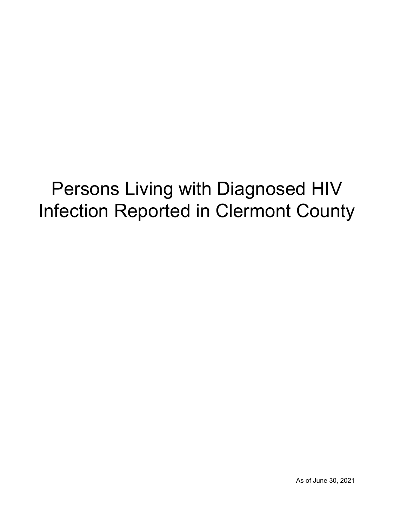## Persons Living with Diagnosed HIV Infection Reported in Clermont County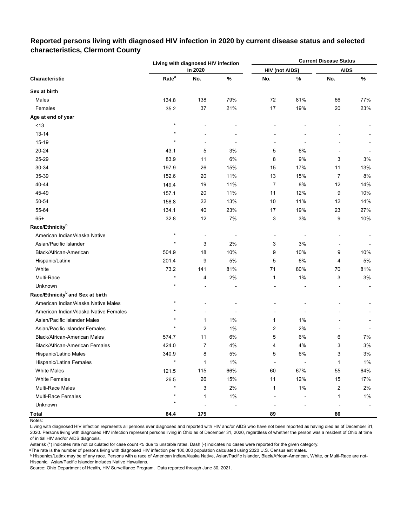|                                              |                   | Living with diagnosed HIV infection |       |                       |       | <b>Current Disease Status</b> |       |
|----------------------------------------------|-------------------|-------------------------------------|-------|-----------------------|-------|-------------------------------|-------|
|                                              |                   | in 2020                             |       | <b>HIV (not AIDS)</b> |       | <b>AIDS</b>                   |       |
| Characteristic                               | Rate <sup>a</sup> | No.                                 | $\%$  | No.                   | %     | No.                           | $\%$  |
| Sex at birth                                 |                   |                                     |       |                       |       |                               |       |
| Males                                        | 134.8             | 138                                 | 79%   | 72                    | 81%   | 66                            | 77%   |
| Females                                      | 35.2              | 37                                  | 21%   | 17                    | 19%   | 20                            | 23%   |
| Age at end of year                           |                   |                                     |       |                       |       |                               |       |
| ~13                                          | $\star$           |                                     |       |                       |       |                               |       |
| $13 - 14$                                    |                   |                                     |       |                       |       |                               |       |
| 15-19                                        | $\star$           |                                     |       |                       |       |                               |       |
| 20-24                                        | 43.1              | 5                                   | 3%    | 5                     | 6%    |                               |       |
| 25-29                                        | 83.9              | 11                                  | $6\%$ | 8                     | 9%    | 3                             | 3%    |
| 30-34                                        | 197.9             | 26                                  | 15%   | 15                    | 17%   | 11                            | 13%   |
| 35-39                                        | 152.6             | 20                                  | 11%   | 13                    | 15%   | $\overline{7}$                | $8\%$ |
| 40-44                                        | 149.4             | 19                                  | 11%   | 7                     | 8%    | 12                            | 14%   |
| 45-49                                        | 157.1             | 20                                  | 11%   | 11                    | 12%   | 9                             | 10%   |
| 50-54                                        | 158.8             | 22                                  | 13%   | 10                    | 11%   | 12                            | 14%   |
| 55-64                                        | 134.1             | 40                                  | 23%   | 17                    | 19%   | 23                            | 27%   |
| $65+$                                        | 32.8              | 12                                  | 7%    | 3                     | $3%$  | 9                             | 10%   |
| Race/Ethnicity <sup>b</sup>                  |                   |                                     |       |                       |       |                               |       |
| American Indian/Alaska Native                | $\star$           | -                                   |       |                       |       |                               |       |
| Asian/Pacific Islander                       | $\star$           | 3                                   | 2%    | 3                     | 3%    |                               |       |
| Black/African-American                       | 504.9             | 18                                  | 10%   | 9                     | 10%   | 9                             | 10%   |
| Hispanic/Latinx                              | 201.4             | 9                                   | 5%    | 5                     | 6%    | 4                             | 5%    |
| White                                        | 73.2              | 141                                 | 81%   | 71                    | 80%   | 70                            | 81%   |
| Multi-Race                                   | $\star$           | 4                                   | 2%    | 1                     | $1\%$ | 3                             | 3%    |
| Unknown                                      |                   |                                     |       |                       |       |                               |       |
| Race/Ethnicity <sup>b</sup> and Sex at birth |                   |                                     |       |                       |       |                               |       |
| American Indian/Alaska Native Males          | $^\star$          |                                     |       |                       |       |                               |       |
| American Indian/Alaska Native Females        | $\star$           |                                     |       |                       |       |                               |       |
| Asian/Pacific Islander Males                 |                   | 1                                   | 1%    | 1                     | $1\%$ |                               |       |
| Asian/Pacific Islander Females               |                   | 2                                   | 1%    | 2                     | 2%    |                               |       |
| Black/African-American Males                 | 574.7             | 11                                  | $6\%$ | 5                     | 6%    | 6                             | 7%    |
| Black/African-American Females               | 424.0             | 7                                   | $4\%$ | 4                     | 4%    | 3                             | $3\%$ |
| Hispanic/Latino Males                        | 340.9             | 8                                   | 5%    | 5                     | 6%    | 3                             | 3%    |
| Hispanic/Latina Females                      | $\star$           | $\mathbf{1}$                        | $1\%$ |                       |       | 1                             | 1%    |
| <b>White Males</b>                           | 121.5             | 115                                 | 66%   | 60                    | 67%   | 55                            | 64%   |
| <b>White Females</b>                         | 26.5              | $26\,$                              | 15%   | 11                    | 12%   | 15                            | 17%   |
| Multi-Race Males                             |                   | 3                                   | 2%    | 1                     | 1%    | $\overline{2}$                | 2%    |
| <b>Multi-Race Females</b>                    |                   | 1                                   | 1%    |                       |       | 1                             | $1\%$ |
| Unknown                                      | $\star$           |                                     |       |                       |       |                               |       |
| <b>Total</b>                                 | 84.4              | 175                                 |       | 89                    |       | 86                            |       |

## **Reported persons living with diagnosed HIV infection in 2020 by current disease status and selected characteristics, Clermont County**

Living with diagnosed HIV infection represents all persons ever diagnosed and reported with HIV and/or AIDS who have not been reported as having died as of December 31, 2020. Persons living with diagnosed HIV infection represent persons living in Ohio as of December 31, 2020, regardless of whether the person was a resident of Ohio at time of initial HIV and/or AIDS diagnosis.

Asterisk (\*) indicates rate not calculated for case count <5 due to unstable rates. Dash (-) indicates no cases were reported for the given category.

a The rate is the number of persons living with diagnosed HIV infection per 100,000 population calculated using 2020 U.S. Census estimates.

ᵇ Hispanics/Latinx may be of any race. Persons with a race of American Indian/Alaska Native, Asian/Pacific Islander, Black/African-American, White, or Multi-Race are not-Hispanic. Asian/Pacific Islander includes Native Hawaiians.

Notes: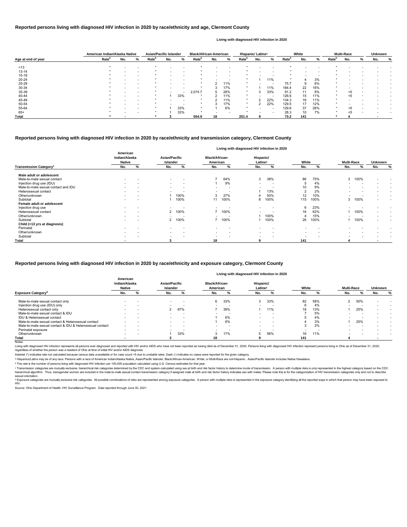|                                          |                                            |                          |                                  |                          |                                   |                          |                                  | Living with diagnosed HIV infection in 2020 |                          |                          |                          |      |         |                          |
|------------------------------------------|--------------------------------------------|--------------------------|----------------------------------|--------------------------|-----------------------------------|--------------------------|----------------------------------|---------------------------------------------|--------------------------|--------------------------|--------------------------|------|---------|--------------------------|
|                                          | American<br>Indian/Alaska<br><b>Native</b> |                          | Asian/Pacific<br><b>Islander</b> |                          | <b>Black/African-</b><br>American |                          | Hispanic/<br>Latinx <sup>a</sup> |                                             | White                    |                          | <b>Multi-Race</b>        |      | Unknown |                          |
| <b>Transmission Category<sup>c</sup></b> | No.                                        | %                        | No.                              | %                        | No.                               | %                        | No.                              | %                                           | No.                      | %                        | No.                      | %    | No.     | %                        |
| Male adult or adolescent                 |                                            |                          |                                  |                          |                                   |                          |                                  |                                             |                          |                          |                          |      |         |                          |
| Male-to-male sexual contact              | $\overline{\phantom{0}}$                   |                          | $\overline{\phantom{a}}$         |                          |                                   | 64%                      | 3                                | 38%                                         | 86                       | 75%                      | 3                        | 100% |         | $\overline{\phantom{0}}$ |
| Injection drug use (IDU)                 |                                            |                          | $\overline{\phantom{a}}$         |                          |                                   | 9%                       | $\overline{\phantom{a}}$         |                                             | 5                        | 4%                       |                          |      |         |                          |
| Male-to-male sexual contact and IDU      |                                            |                          | $\overline{\phantom{0}}$         |                          | $\overline{\phantom{0}}$          | $\overline{\phantom{a}}$ |                                  |                                             | 10                       | 9%                       | $\overline{\phantom{0}}$ |      |         | $\overline{\phantom{0}}$ |
| Heterosexual contact                     | $\overline{\phantom{0}}$                   |                          | $\overline{a}$                   |                          | $\overline{\phantom{0}}$          |                          |                                  | 13%                                         | $\overline{2}$           | 2%                       | $\overline{a}$           |      |         | $\overline{\phantom{a}}$ |
| Other/unknown                            |                                            |                          |                                  | 100%                     | 3                                 | 27%                      |                                  | 50%                                         | 12                       | 10%                      |                          |      |         | $\overline{\phantom{a}}$ |
| Subtotal                                 | $\overline{\phantom{a}}$                   |                          |                                  | 100%                     |                                   | 100%                     | 8                                | 100%                                        | 115                      | 100%                     | 3                        | 100% |         | $\overline{\phantom{a}}$ |
| Female adult or adolescent               |                                            |                          |                                  |                          |                                   |                          |                                  |                                             |                          |                          |                          |      |         |                          |
| Injection drug use                       |                                            |                          |                                  |                          |                                   |                          |                                  |                                             | 6                        | 23%                      |                          |      |         |                          |
| Heterosexual contact                     |                                            |                          | 2                                | 100%                     |                                   | 100%                     |                                  |                                             | 16                       | 62%                      |                          | 100% |         |                          |
| Other/unknown                            |                                            | $\overline{\phantom{0}}$ |                                  |                          |                                   |                          |                                  | 100%                                        |                          | 15%                      |                          |      |         | $\overline{\phantom{0}}$ |
| Subtotal                                 |                                            |                          |                                  | 2 100%                   |                                   | 100%                     |                                  | 100%                                        | 26                       | 100%                     |                          | 100% |         | $\overline{\phantom{0}}$ |
| Child (<13 yrs at diagnosis)             |                                            |                          |                                  |                          |                                   |                          |                                  |                                             |                          |                          |                          |      |         |                          |
| Perinatal                                |                                            |                          | $\overline{\phantom{0}}$         |                          |                                   |                          | $\overline{\phantom{a}}$         |                                             | $\overline{\phantom{0}}$ |                          |                          |      |         |                          |
| Other/unknown                            | $\overline{\phantom{0}}$                   |                          | $\sim$                           | $\overline{\phantom{a}}$ | $\overline{\phantom{a}}$          |                          | $\overline{\phantom{a}}$         | . .                                         | $\overline{\phantom{a}}$ | $\overline{\phantom{a}}$ | $\overline{\phantom{0}}$ |      |         |                          |
| Subtotal                                 | $\overline{\phantom{a}}$                   |                          | $\overline{a}$                   |                          | $\overline{\phantom{0}}$          |                          | $\overline{\phantom{0}}$         |                                             | $\overline{a}$           |                          |                          |      |         |                          |
| <b>Total</b>                             |                                            |                          |                                  |                          | 18                                |                          | g                                |                                             | 141                      |                          |                          |      |         |                          |

© Transmission categories are mutually exclusive, hierarchical risk categories determined by the CDC and system-calculated using sex at birth and risk factor history to determine mode of transmission. A person with multip hierarchical algorithm. Thus, transgender women are included in the male-to-male sexual contact transmission category if assigned male at birth and risk factor history indicates sex with males. Please note this is for the sexual orientation.

<sup>d</sup> Exposure categories are mutually exclusive risk categories. All possible combinations of risks are represented among exposure categories. A person with multiple risks is represented in the exposure category identifying

|                                                          | American<br>Indian/Alaska<br><b>Native</b> |                          | <b>Asian/Pacific</b><br>Islander |                          | <b>Black/African-</b><br>American |                          | Hispanic/<br>Latinx <sup>a</sup> |                          | White  |                          | <b>Multi-Race</b>        |     | <b>Unknown</b> |   |
|----------------------------------------------------------|--------------------------------------------|--------------------------|----------------------------------|--------------------------|-----------------------------------|--------------------------|----------------------------------|--------------------------|--------|--------------------------|--------------------------|-----|----------------|---|
| <b>Exposure Category<sup>d</sup></b>                     | No.                                        |                          | No.                              |                          | No.                               |                          | No.                              |                          | No.    |                          | No.                      |     | No.            | % |
| Male-to-male sexual contact only                         | $\overline{\phantom{a}}$                   | $\overline{\phantom{a}}$ | $\overline{\phantom{a}}$         | $\overline{\phantom{a}}$ | 6                                 | 33%                      | $\sim$                           | 33%                      | 82     | 58%                      | $\sim$                   | 50% |                |   |
| Injection drug use (IDU) only                            |                                            | $\overline{\phantom{a}}$ |                                  | $\overline{\phantom{a}}$ |                                   | $\overline{\phantom{a}}$ |                                  |                          |        | 4%                       |                          |     |                |   |
| Heterosexual contact only                                |                                            |                          |                                  | 67%                      |                                   | 39%                      |                                  | 11%                      | 18     | 13%                      |                          | 25% |                |   |
| Male-to-male sexual contact & IDU                        |                                            |                          | $\overline{\phantom{a}}$         | $\overline{\phantom{a}}$ |                                   | $\overline{\phantom{a}}$ |                                  | $\overline{\phantom{a}}$ |        | 5%                       |                          |     |                |   |
| IDU & Heterosexual contact                               | $\overline{\phantom{0}}$                   | $\sim$                   | $\sim$                           | $\sim$                   |                                   | 6%                       | $\sim$                           | -                        |        | 4%                       | $\overline{\phantom{0}}$ |     |                |   |
| Male-to-male sexual contact & Heterosexual contact       | $\overline{\phantom{a}}$                   | $\overline{\phantom{a}}$ | $\overline{\phantom{a}}$         | $\overline{\phantom{a}}$ |                                   | 6%                       | $\overline{\phantom{a}}$         | $\overline{\phantom{a}}$ |        | 3%                       |                          | 25% |                |   |
| Male-to-male sexual contact & IDU & Heterosexual contact | $\overline{\phantom{a}}$                   |                          | $\overline{\phantom{a}}$         |                          | $\overline{\phantom{0}}$          | $\overline{\phantom{a}}$ |                                  | $\overline{\phantom{a}}$ | J      | 2%                       |                          |     |                |   |
| Perinatal exposure                                       | $\sim$                                     | $\overline{\phantom{a}}$ | $\overline{\phantom{a}}$         | $\overline{\phantom{a}}$ | $\overline{\phantom{a}}$          | $\overline{\phantom{a}}$ |                                  |                          | $\sim$ | $\overline{\phantom{a}}$ |                          |     |                |   |
| Other/unknown                                            |                                            | $\overline{\phantom{a}}$ |                                  | 33%                      | 3                                 | 17%                      |                                  | 56%                      | 16     | 11%                      |                          |     |                |   |
| Total                                                    |                                            |                          |                                  |                          | 18                                |                          |                                  |                          | 141    |                          |                          |     |                |   |

Notes:

Living with diagnosed HIV infection represents all persons ever diagnosed and reported with HIV and/or AIDS who have not been reported as having died as of December 31, 2020. Persons living with diagnosed HIV infection rep regardless of whether the person was a resident of Ohio at time of initial HIV and/or AIDS diagnosis.

### **Reported persons living with diagnosed HIV infection in 2020 by race/ethnicity and transmission category, Clermont County**

|                    |                   | American Indian/Alaska Native |                          | <b>Asian/Pacific Islander</b> |     |                          | <b>Black/African-American</b> |     | Hispanic/ Latinx <sup>a</sup> |                   | White                    |                          |                   | <b>Multi-Race</b> |     |                   | <b>Unknown</b> |   |     |  |
|--------------------|-------------------|-------------------------------|--------------------------|-------------------------------|-----|--------------------------|-------------------------------|-----|-------------------------------|-------------------|--------------------------|--------------------------|-------------------|-------------------|-----|-------------------|----------------|---|-----|--|
| Age at end of year | Rate <sup>b</sup> | No.                           | %                        | Rate <sup>p</sup>             | No. | %                        | Rate <sup>r</sup>             | No. | %                             | Rate <sup>p</sup> | No.                      | ℅                        | Rate <sup>n</sup> | No.               | ℅   | Rate <sup>"</sup> | No.            | % | No. |  |
|                    |                   |                               |                          |                               |     |                          |                               |     |                               |                   |                          |                          |                   |                   |     |                   |                |   |     |  |
| ~13                |                   |                               |                          |                               |     |                          |                               |     |                               |                   |                          |                          |                   |                   |     |                   |                |   |     |  |
| $13 - 14$          |                   |                               |                          |                               |     |                          |                               |     |                               |                   |                          |                          |                   |                   |     |                   |                |   |     |  |
| $15-19$            |                   |                               |                          |                               |     | <b>.</b>                 |                               |     | $\overline{\phantom{0}}$      |                   |                          |                          |                   |                   |     |                   |                |   |     |  |
| 20-24              |                   |                               |                          |                               |     |                          |                               |     |                               |                   |                          | 11%                      |                   |                   | 3%  |                   |                |   |     |  |
| 25-29              |                   |                               |                          |                               |     | $\overline{\phantom{0}}$ |                               |     | 11%                           | $\star$           |                          | $\overline{\phantom{a}}$ | 75.7              | 9                 | 6%  |                   |                |   |     |  |
| 30-34              |                   |                               |                          |                               |     |                          |                               |     | 17%                           | $\star$           |                          | 11%                      | 184.4             | 22                | 16% |                   |                |   |     |  |
| 35-39              |                   |                               | $\overline{\phantom{0}}$ |                               |     | $\overline{\phantom{a}}$ | 2,074.7                       |     | 28%                           | $\star$           |                          | 33%                      | 91.2              | 11                | 8%  |                   | $\leq 5$       |   |     |  |
| 40-44              |                   |                               |                          |                               |     | 33%                      |                               |     | 11%                           |                   |                          | $\overline{\phantom{a}}$ | 126.6             | 15                | 11% |                   | $<$ 5          |   |     |  |
| 45-49              |                   |                               |                          |                               |     | $\overline{\phantom{a}}$ | $\ast$                        |     | 11%                           | $\star$           |                          | 22%                      | 134.3             | 16                | 11% | $\star$           |                |   |     |  |
| 50-54              |                   |                               |                          |                               |     |                          |                               |     | 17%                           | $\star$           |                          | 22%                      | 129.5             | 17                | 12% | $\star$           |                |   |     |  |
| 55-64              |                   |                               |                          |                               |     | 33%                      | $\star$                       |     | 6%                            | $\star$           | $\overline{\phantom{0}}$ | $\overline{\phantom{a}}$ | 129.6             | 37                | 26% |                   | $5$            |   |     |  |
| $65+$              |                   |                               |                          |                               |     | 33%                      |                               |     | . .                           |                   |                          | $\overline{\phantom{a}}$ | 28.3              | 10                | 7%  |                   | $<$ 5          |   |     |  |
| <b>Total</b>       |                   | -                             |                          |                               |     |                          | 504.9                         | 18  |                               | 201.4             |                          |                          | 73.2              | 141               |     |                   |                |   |     |  |

## **Reported persons living with diagnosed HIV infection in 2020 by race/ethnicity and age, Clermont County**

#### **Living with diagnosed HIV infection in 2020**

#### **Reported persons living with diagnosed HIV infection in 2020 by race/ethnicity and exposure category, Clermont County**

#### **Living with diagnosed HIV infection in 2020**

Source: Ohio Department of Health, HIV Surveillance Program. Data reported through June 30, 2021.

ᵇ The rate is the number of persons living with diagnosed HIV infection per 100,000 population calculated using U.S. Census estimates for that year.

Asterisk (\*) indicates rate not calculated because census data unavailable or for case count <5 due to unstable rates. Dash (-) indicates no cases were reported for the given category.

a Hispanics/Latinx may be of any race. Persons with a race of American Indian/Alaska Native, Asian/Pacific Islander, Black/African-American, White, or Multi-Race are not-Hispanic. Asian/Pacific Islander includes Native Haw

#### HIV.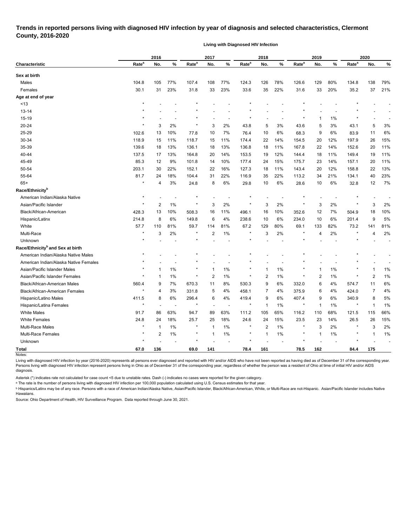## **Trends in reported persons living with diagnosed HIV infection by year of diagnosis and selected characteristics, Clermont County, 2016-2020**

**Living with Diagnosed HIV Infection**

|                                              | 2016              |                |       |                   | 2017           |                          |                   | 2018         |     |                   | 2019           |       |                   | 2020           |                          |  |
|----------------------------------------------|-------------------|----------------|-------|-------------------|----------------|--------------------------|-------------------|--------------|-----|-------------------|----------------|-------|-------------------|----------------|--------------------------|--|
| Characteristic                               | Rate <sup>a</sup> | No.            | %     | Rate <sup>a</sup> | No.            | %                        | Rate <sup>a</sup> | No.          | %   | Rate <sup>a</sup> | No.            | %     | Rate <sup>a</sup> | No.            | $\%$                     |  |
| Sex at birth                                 |                   |                |       |                   |                |                          |                   |              |     |                   |                |       |                   |                |                          |  |
| Males                                        | 104.8             | 105            | 77%   | 107.4             | 108            | 77%                      | 124.3             | 126          | 78% | 126.6             | 129            | 80%   | 134.8             | 138            | 79%                      |  |
| Females                                      | 30.1              | 31             | 23%   | 31.8              | 33             | 23%                      | 33.6              | 35           | 22% | 31.6              | 33             | 20%   | 35.2              | 37             | 21%                      |  |
| Age at end of year                           |                   |                |       |                   |                |                          |                   |              |     |                   |                |       |                   |                |                          |  |
| ~13                                          | $\star$           |                |       |                   |                |                          |                   |              |     |                   |                |       |                   |                |                          |  |
| 13-14                                        |                   |                |       |                   |                |                          |                   |              |     |                   |                |       |                   |                |                          |  |
| 15-19                                        |                   |                |       |                   |                | $\overline{\phantom{0}}$ | ×                 |              |     |                   | $\overline{1}$ | 1%    | $\star$           |                |                          |  |
| 20-24                                        | $\star$           | 3              | 2%    | $\star$           | 3              | 2%                       | 43.8              | 5            | 3%  | 43.6              | 5              | 3%    | 43.1              | 5              | 3%                       |  |
| 25-29                                        | 102.6             | 13             | 10%   | 77.8              | 10             | 7%                       | 76.4              | 10           | 6%  | 68.3              | 9              | 6%    | 83.9              | 11             | 6%                       |  |
| 30-34                                        | 118.9             | 15             | 11%   | 118.7             | 15             | 11%                      | 174.4             | 22           | 14% | 154.5             | 20             | 12%   | 197.9             | 26             | 15%                      |  |
| 35-39                                        | 139.6             | 18             | 13%   | 136.1             | 18             | 13%                      | 136.8             | 18           | 11% | 167.8             | 22             | 14%   | 152.6             | 20             | 11%                      |  |
| 40-44                                        | 137.5             | 17             | 13%   | 164.8             | 20             | 14%                      | 153.5             | 19           | 12% | 144.4             | 18             | 11%   | 149.4             | 19             | 11%                      |  |
| 45-49                                        | 85.3              | 12             | 9%    | 101.8             | 14             | 10%                      | 177.4             | 24           | 15% | 175.7             | 23             | 14%   | 157.1             | 20             | 11%                      |  |
| 50-54                                        | 203.1             | 30             | 22%   | 152.1             | 22             | 16%                      | 127.3             | 18           | 11% | 143.4             | 20             | 12%   | 158.8             | 22             | 13%                      |  |
| 55-64                                        | 81.7              | 24             | 18%   | 104.4             | 31             | 22%                      | 116.9             | 35           | 22% | 113.2             | 34             | 21%   | 134.1             | 40             | 23%                      |  |
| $65+$                                        | $\star$           | 4              | 3%    | 24.8              | 8              | 6%                       | 29.8              | 10           | 6%  | 28.6              | 10             | 6%    | 32.8              | 12             | 7%                       |  |
| Race/Ethnicity <sup>b</sup>                  |                   |                |       |                   |                |                          |                   |              |     |                   |                |       |                   |                |                          |  |
| American Indian/Alaska Native                | $\star$           |                |       |                   |                |                          | $\star$           |              |     |                   |                |       |                   |                |                          |  |
| Asian/Pacific Islander                       | $^\star$          | $\overline{2}$ | 1%    | $\star$           | 3              | 2%                       | $\star$           | 3            | 2%  | $\star$           | 3              | 2%    | $^\ast$           | 3              | 2%                       |  |
| Black/African-American                       | 428.3             | 13             | 10%   | 508.3             | 16             | 11%                      | 496.1             | 16           | 10% | 352.6             | 12             | 7%    | 504.9             | 18             | 10%                      |  |
| Hispanic/Latinx                              | 214.8             | 8              | 6%    | 149.8             | 6              | 4%                       | 238.6             | 10           | 6%  | 234.0             | 10             | 6%    | 201.4             | 9              | 5%                       |  |
| White                                        | 57.7              | 110            | 81%   | 59.7              | 114            | 81%                      | 67.2              | 129          | 80% | 69.1              | 133            | 82%   | 73.2              | 141            | 81%                      |  |
| Multi-Race                                   | $\star$           | 3              | 2%    | $\star$           | 2              | 1%                       | $\star$           | 3            | 2%  |                   | 4              | 2%    | $\star$           | 4              | 2%                       |  |
| Unknown                                      |                   |                |       |                   |                |                          |                   |              |     |                   |                |       |                   |                | $\overline{\phantom{a}}$ |  |
| Race/Ethnicity <sup>b</sup> and Sex at birth |                   |                |       |                   |                |                          |                   |              |     |                   |                |       |                   |                |                          |  |
| American Indian/Alaska Native Males          |                   |                |       |                   |                |                          |                   |              |     |                   |                |       |                   |                |                          |  |
| American Indian/Alaska Native Females        |                   |                |       |                   |                |                          |                   |              |     |                   |                |       |                   |                |                          |  |
| Asian/Pacific Islander Males                 |                   | -1             | 1%    |                   | -1             | 1%                       |                   | 1            | 1%  |                   | $\overline{1}$ | 1%    |                   | 1              | 1%                       |  |
| Asian/Pacific Islander Females               |                   | $\mathbf{1}$   | 1%    |                   | $\overline{2}$ | 1%                       | ×                 | 2            | 1%  |                   | $\overline{2}$ | 1%    |                   | $\overline{c}$ | 1%                       |  |
| <b>Black/African-American Males</b>          | 560.4             | 9              | 7%    | 670.3             | 11             | 8%                       | 530.3             | 9            | 6%  | 332.0             | 6              | 4%    | 574.7             | 11             | 6%                       |  |
| Black/African-American Females               |                   | 4              | 3%    | 331.8             | 5              | 4%                       | 458.1             | 7            | 4%  | 375.9             | 6              | 4%    | 424.0             | 7              | 4%                       |  |
| Hispanic/Latino Males                        | 411.5             | 8              | 6%    | 296.4             | 6              | 4%                       | 419.4             | 9            | 6%  | 407.4             | 9              | 6%    | 340.9             | 8              | 5%                       |  |
| Hispanic/Latina Females                      | $\star$           |                |       |                   |                |                          | $\star$           | $\mathbf{1}$ | 1%  |                   | $\mathbf 1$    | 1%    |                   | 1              | 1%                       |  |
| <b>White Males</b>                           | 91.7              | 86             | 63%   | 94.7              | 89             | 63%                      | 111.2             | 105          | 65% | 116.2             | 110            | 68%   | 121.5             | 115            | 66%                      |  |
| <b>White Females</b>                         | 24.8              | 24             | 18%   | 25.7              | 25             | 18%                      | 24.6              | 24           | 15% | 23.5              | 23             | 14%   | 26.5              | 26             | 15%                      |  |
| Multi-Race Males                             | $^\star$          | $\mathbf{1}$   | $1\%$ |                   | 1              | 1%                       | $\ast$            | 2            | 1%  | $\ast$            | 3              | 2%    |                   | 3              | 2%                       |  |
| Multi-Race Females                           | $\star$           | $\sqrt{2}$     | 1%    | $^\star$          | -1             | $1\%$                    | $\star$           | 1            | 1%  | $\ast$            | $\mathbf{1}$   | $1\%$ | *                 | 1              | 1%                       |  |
| Unknown                                      | $^\star$          |                |       |                   |                |                          | $\star$           |              |     |                   |                |       |                   |                |                          |  |
| <b>Total</b>                                 | 67.0              | 136            |       | 69.0              | 141            |                          | 78.4              | 161          |     | 78.5              | 162            |       | 84.4              | 175            |                          |  |
| Notes:                                       |                   |                |       |                   |                |                          |                   |              |     |                   |                |       |                   |                |                          |  |

Living with diagnosed HIV infection by year (2016-2020) represents all persons ever diagnosed and reported with HIV and/or AIDS who have not been reported as having died as of December 31 of the corresponding year. Persons living with diagnosed HIV infection represent persons living in Ohio as of December 31 of the corresponding year, regardless of whether the person was a resident of Ohio at time of initial HIV and/or AIDS diagnosis.

Asterisk (\*) indicates rate not calculated for case count <5 due to unstable rates. Dash (-) indicates no cases were reported for the given category.

<sup>a</sup> The rate is the number of persons living with diagnosed HIV infection per 100,000 population calculated using U.S. Census estimates for that year.

ᵇ Hispanics/Latinx may be of any race. Persons with a race of American Indian/Alaska Native, Asian/Pacific Islander, Black/African-American, White, or Multi-Race are not-Hispanic. Asian/Pacific Islander includes Native Hawaiians.